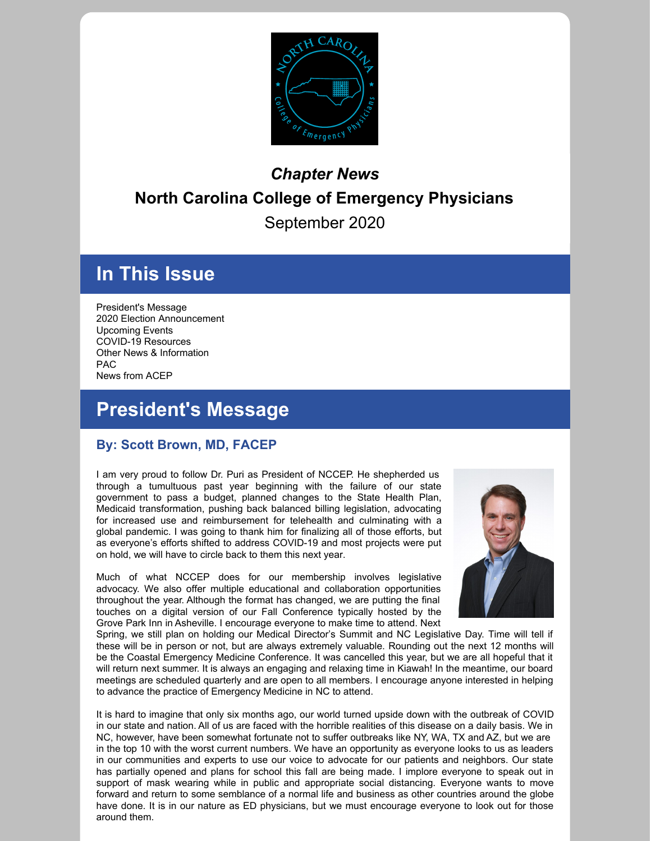

# *Chapter News* **North Carolina College of Emergency Physicians** September 2020

# **In This Issue**

President's Message 2020 Election Announcement Upcoming Events COVID-19 Resources Other News & Information PAC News from ACEP

# **President's Message**

# **By: Scott Brown, MD, FACEP**

I am very proud to follow Dr. Puri as President of NCCEP. He shepherded us through a tumultuous past year beginning with the failure of our state government to pass a budget, planned changes to the State Health Plan, Medicaid transformation, pushing back balanced billing legislation, advocating for increased use and reimbursement for telehealth and culminating with a global pandemic. I was going to thank him for finalizing all of those efforts, but as everyone's efforts shifted to address COVID-19 and most projects were put on hold, we will have to circle back to them this next year.

Much of what NCCEP does for our membership involves legislative advocacy. We also offer multiple educational and collaboration opportunities throughout the year. Although the format has changed, we are putting the final touches on a digital version of our Fall Conference typically hosted by the Grove Park Inn in Asheville. I encourage everyone to make time to attend. Next



Spring, we still plan on holding our Medical Director's Summit and NC Legislative Day. Time will tell if these will be in person or not, but are always extremely valuable. Rounding out the next 12 months will be the Coastal Emergency Medicine Conference. It was cancelled this year, but we are all hopeful that it will return next summer. It is always an engaging and relaxing time in Kiawah! In the meantime, our board meetings are scheduled quarterly and are open to all members. I encourage anyone interested in helping to advance the practice of Emergency Medicine in NC to attend.

It is hard to imagine that only six months ago, our world turned upside down with the outbreak of COVID in our state and nation. All of us are faced with the horrible realities of this disease on a daily basis. We in NC, however, have been somewhat fortunate not to suffer outbreaks like NY, WA, TX and AZ, but we are in the top 10 with the worst current numbers. We have an opportunity as everyone looks to us as leaders in our communities and experts to use our voice to advocate for our patients and neighbors. Our state has partially opened and plans for school this fall are being made. I implore everyone to speak out in support of mask wearing while in public and appropriate social distancing. Everyone wants to move forward and return to some semblance of a normal life and business as other countries around the globe have done. It is in our nature as ED physicians, but we must encourage everyone to look out for those around them.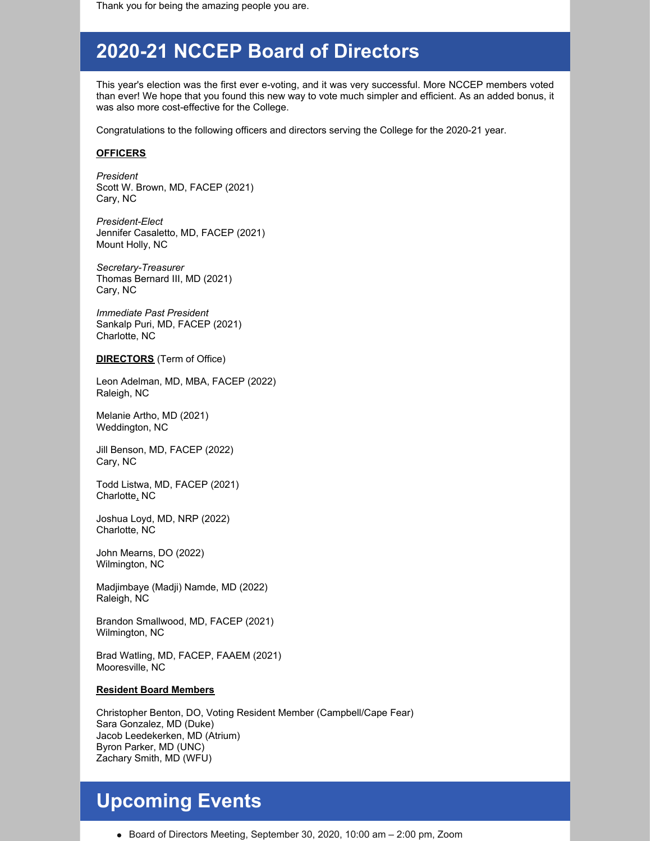Thank you for being the amazing people you are.

# **2020-21 NCCEP Board of Directors**

This year's election was the first ever e-voting, and it was very successful. More NCCEP members voted than ever! We hope that you found this new way to vote much simpler and efficient. As an added bonus, it was also more cost-effective for the College.

Congratulations to the following officers and directors serving the College for the 2020-21 year.

#### **OFFICERS**

*President* Scott W. Brown, MD, FACEP (2021) Cary, NC

*President-Elect* Jennifer Casaletto, MD, FACEP (2021) Mount Holly, NC

*Secretary-Treasurer* Thomas Bernard III, MD (2021) Cary, NC

*Immediate Past President* Sankalp Puri, MD, FACEP (2021) Charlotte, NC

**DIRECTORS** (Term of Office)

Leon Adelman, MD, MBA, FACEP (2022) Raleigh, NC

Melanie Artho, MD (2021) Weddington, NC

Jill Benson, MD, FACEP (2022) Cary, NC

Todd Listwa, MD, FACEP (2021) Charlotte[,](mailto:tlistwa@MEMA.net) NC

Joshua Loyd, MD, NRP (2022) Charlotte, NC

John Mearns, DO (2022) Wilmington, NC

Madjimbaye (Madji) Namde, MD (2022) Raleigh, NC

Brandon Smallwood, MD, FACEP (2021) Wilmington, NC

Brad Watling, MD, FACEP, FAAEM (2021) Mooresville, NC

#### **Resident Board Members**

Christopher Benton, DO, Voting Resident Member (Campbell/Cape Fear) Sara Gonzalez, MD (Duke) Jacob Leedekerken, MD (Atrium) Byron Parker, MD (UNC) Zachary Smith, MD (WFU)

# **Upcoming Events**

Board of Directors Meeting, September 30, 2020, 10:00 am – 2:00 pm, Zoom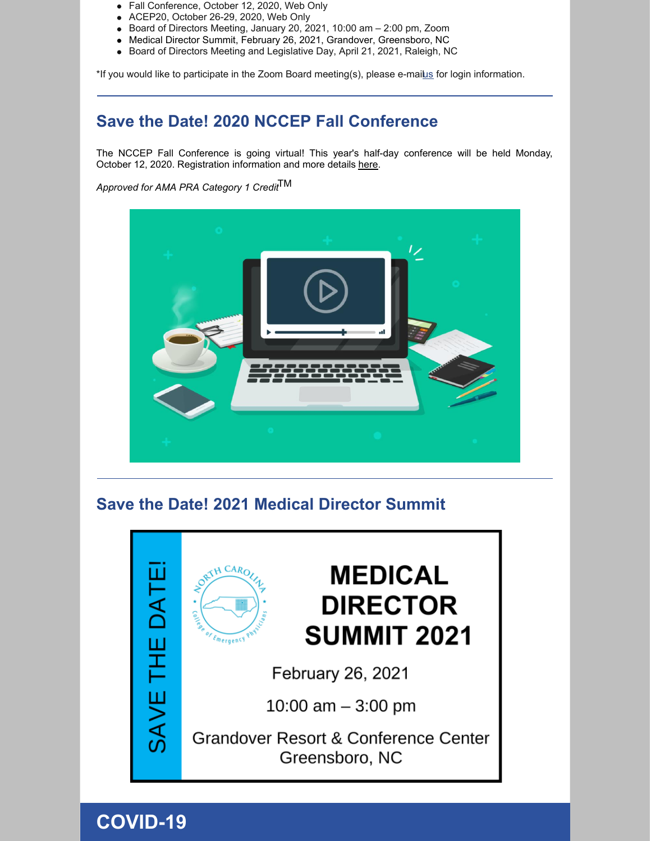- Fall Conference, October 12, 2020, Web Only
- ACEP20, October 26-29, 2020, Web Only
- Board of Directors Meeting, January 20, 2021, 10:00 am 2:00 pm, Zoom
- Medical Director Summit, February 26, 2021, Grandover, Greensboro, NC
- Board of Directors Meeting and Legislative Day, April 21, 2021, Raleigh, NC

\*If you would like to participate in the Zoom Board meeting(s), please e-ma[ilus](mailto:events@nccep.org) for login information.

# **Save the Date! 2020 NCCEP Fall Conference**

The NCCEP Fall Conference is going virtual! This year's half-day conference will be held Monday, October 12, 2020. Registration information and more details [here](https://www.nccep.org/?page_id=756).

*Approved for AMA PRA Category 1 Credit* TM



# **Save the Date! 2021 Medical Director Summit**



**COVID-19**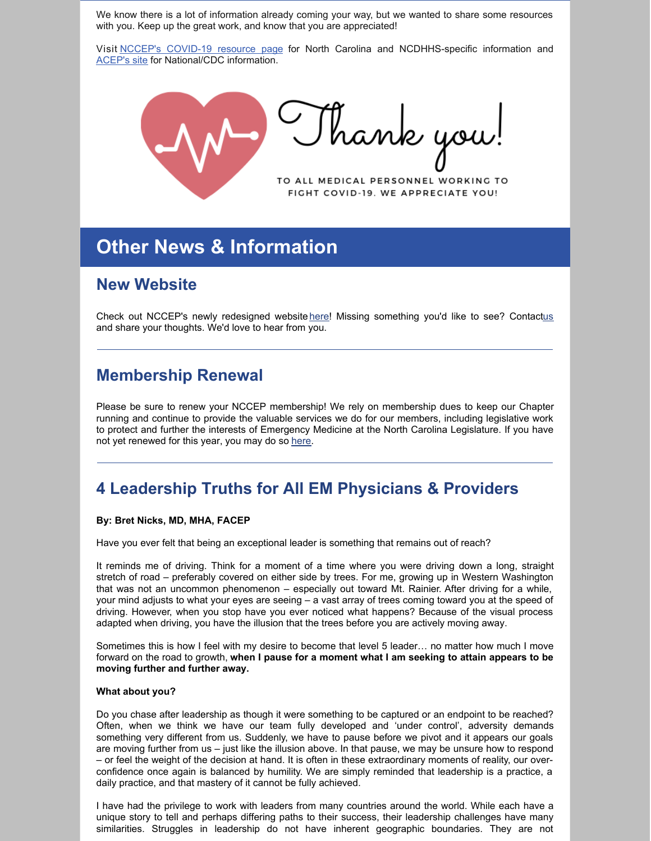We know there is a lot of information already coming your way, but we wanted to share some resources with you. Keep up the great work, and know that you are appreciated!

Visit NCCEP's [COVID-19](https://www.nccep.org/?page_id=953) resource page for North Carolina and NCDHHS-specific information and [ACEP's](https://www.acep.org/corona/covid-19-Main/) site for National/CDC information.



hank you

TO ALL MEDICAL PERSONNEL WORKING TO FIGHT COVID-19. WE APPRECIATE YOU!

# **Other News & Information**

# **New Website**

Check out NCCEP's newly redesigned website [here](https://www.nccep.org/)! Missing something you'd like to see? Contac[tus](mailto:events@nccep.org) and share your thoughts. We'd love to hear from you.

# **Membership Renewal**

Please be sure to renew your NCCEP membership! We rely on membership dues to keep our Chapter running and continue to provide the valuable services we do for our members, including legislative work to protect and further the interests of Emergency Medicine at the North Carolina Legislature. If you have not yet renewed for this year, you may do so [here](https://signin.acep.org/idp/Account/Login?ReturnUrl=%2fidp%2fSAML%2fSSOService%3forg%3dACEP%26SAMLRequest%3dfZLdTuMwFIRfJfJ9%252FkwprdUUlZbVVmKXiBQuuEGnyWmxlNheH6ewb4%252BTFgpI9C4azWi%252BzPGEoKmNmLXuWd3hvxbJBctFxp4uxnwz4DgM02TEwwEfJuG6StPwnMMQzuBiDCmy4AEtSa0yxqOEBUuiFpeKHCjnpYQnYTIK09EqHQg%252BFnwUjc%252F4IwsWvkUqcH3y2TlDIo5JbpVUEZRoIm23saxMXMz%252B3MRFcVug3ckSL72ezebXOQt%252BaVtiT52xDdSEXXsORHKHH0putdOlrq%252BkqqTaZqy1SmggSUJBgyRcKboK4enFem8i8Xu1ysP8tlixYEaEtsOca0Vtg%252FYAcn93cwR%252FwTUYQ0fynvqnaARkXlnw2tSKRD%252F%252BaSxz%252BAc2nXRu0W9sP%252BVPx%252BEdg00723fW%252FqMBBVusxIHQr7aTFdpJ%252FKlw327EX9%252BwXOS6luX%252F7ggNuJ8B0ijtFVmFm94qWkUGS7mRWPl161q%252FzC2C8ydztvUXi6f71q8vcvoG%26RelayState%3dhttps%253A%252F%252Fwebapps.acep.org%252Fmemberapplication%252F).

# **4 Leadership Truths for All EM Physicians & Providers**

#### **By: Bret Nicks, MD, MHA, FACEP**

Have you ever felt that being an exceptional leader is something that remains out of reach?

It reminds me of driving. Think for a moment of a time where you were driving down a long, straight stretch of road – preferably covered on either side by trees. For me, growing up in Western Washington that was not an uncommon phenomenon – especially out toward Mt. Rainier. After driving for a while, your mind adjusts to what your eyes are seeing – a vast array of trees coming toward you at the speed of driving. However, when you stop have you ever noticed what happens? Because of the visual process adapted when driving, you have the illusion that the trees before you are actively moving away.

Sometimes this is how I feel with my desire to become that level 5 leader… no matter how much I move forward on the road to growth, **when I pause for a moment what I am seeking to attain appears to be moving further and further away.**

#### **What about you?**

Do you chase after leadership as though it were something to be captured or an endpoint to be reached? Often, when we think we have our team fully developed and 'under control', adversity demands something very different from us. Suddenly, we have to pause before we pivot and it appears our goals are moving further from us – just like the illusion above. In that pause, we may be unsure how to respond – or feel the weight of the decision at hand. It is often in these extraordinary moments of reality, our overconfidence once again is balanced by humility. We are simply reminded that leadership is a practice, a daily practice, and that mastery of it cannot be fully achieved.

I have had the privilege to work with leaders from many countries around the world. While each have a unique story to tell and perhaps differing paths to their success, their leadership challenges have many similarities. Struggles in leadership do not have inherent geographic boundaries. They are not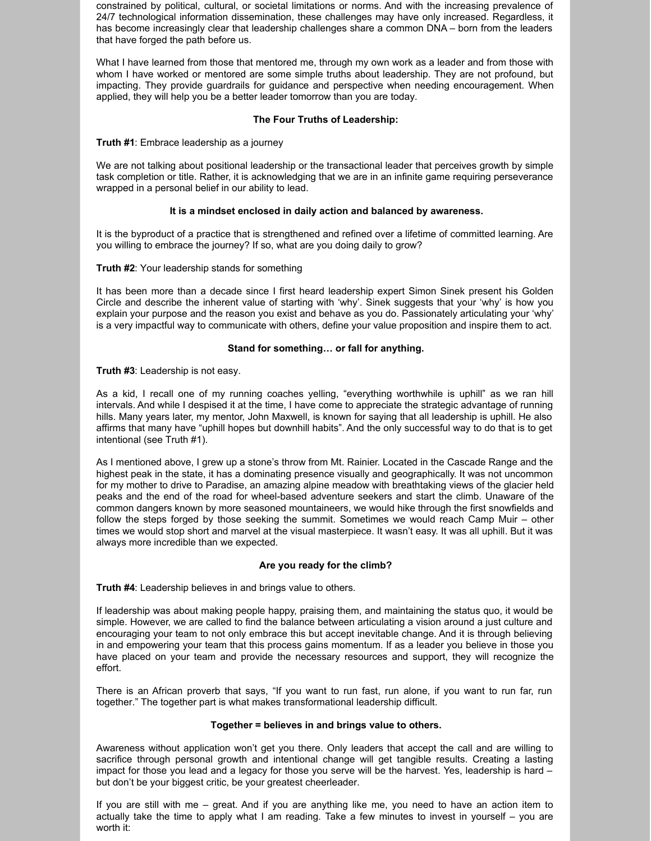constrained by political, cultural, or societal limitations or norms. And with the increasing prevalence of 24/7 technological information dissemination, these challenges may have only increased. Regardless, it has become increasingly clear that leadership challenges share a common DNA – born from the leaders that have forged the path before us.

What I have learned from those that mentored me, through my own work as a leader and from those with whom I have worked or mentored are some simple truths about leadership. They are not profound, but impacting. They provide guardrails for guidance and perspective when needing encouragement. When applied, they will help you be a better leader tomorrow than you are today.

#### **The Four Truths of Leadership:**

#### **Truth #1**: Embrace leadership as a journey

We are not talking about positional leadership or the transactional leader that perceives growth by simple task completion or title. Rather, it is acknowledging that we are in an infinite game requiring perseverance wrapped in a personal belief in our ability to lead.

#### **It is a mindset enclosed in daily action and balanced by awareness.**

It is the byproduct of a practice that is strengthened and refined over a lifetime of committed learning. Are you willing to embrace the journey? If so, what are you doing daily to grow?

#### **Truth #2**: Your leadership stands for something

It has been more than a decade since I first heard leadership expert Simon Sinek present his Golden Circle and describe the inherent value of starting with 'why'. Sinek suggests that your 'why' is how you explain your purpose and the reason you exist and behave as you do. Passionately articulating your 'why' is a very impactful way to communicate with others, define your value proposition and inspire them to act.

#### **Stand for something… or fall for anything.**

#### **Truth #3**: Leadership is not easy.

As a kid, I recall one of my running coaches yelling, "everything worthwhile is uphill" as we ran hill intervals. And while I despised it at the time, I have come to appreciate the strategic advantage of running hills. Many years later, my mentor, John Maxwell, is known for saying that all leadership is uphill. He also affirms that many have "uphill hopes but downhill habits". And the only successful way to do that is to get intentional (see Truth #1).

As I mentioned above, I grew up a stone's throw from Mt. Rainier. Located in the Cascade Range and the highest peak in the state, it has a dominating presence visually and geographically. It was not uncommon for my mother to drive to Paradise, an amazing alpine meadow with breathtaking views of the glacier held peaks and the end of the road for wheel-based adventure seekers and start the climb. Unaware of the common dangers known by more seasoned mountaineers, we would hike through the first snowfields and follow the steps forged by those seeking the summit. Sometimes we would reach Camp Muir – other times we would stop short and marvel at the visual masterpiece. It wasn't easy. It was all uphill. But it was always more incredible than we expected.

#### **Are you ready for the climb?**

**Truth #4**: Leadership believes in and brings value to others.

If leadership was about making people happy, praising them, and maintaining the status quo, it would be simple. However, we are called to find the balance between articulating a vision around a just culture and encouraging your team to not only embrace this but accept inevitable change. And it is through believing in and empowering your team that this process gains momentum. If as a leader you believe in those you have placed on your team and provide the necessary resources and support, they will recognize the effort.

There is an African proverb that says, "If you want to run fast, run alone, if you want to run far, run together." The together part is what makes transformational leadership difficult.

#### **Together = believes in and brings value to others.**

Awareness without application won't get you there. Only leaders that accept the call and are willing to sacrifice through personal growth and intentional change will get tangible results. Creating a lasting impact for those you lead and a legacy for those you serve will be the harvest. Yes, leadership is hard – but don't be your biggest critic, be your greatest cheerleader.

If you are still with me – great. And if you are anything like me, you need to have an action item to actually take the time to apply what I am reading. Take a few minutes to invest in yourself – you are worth it: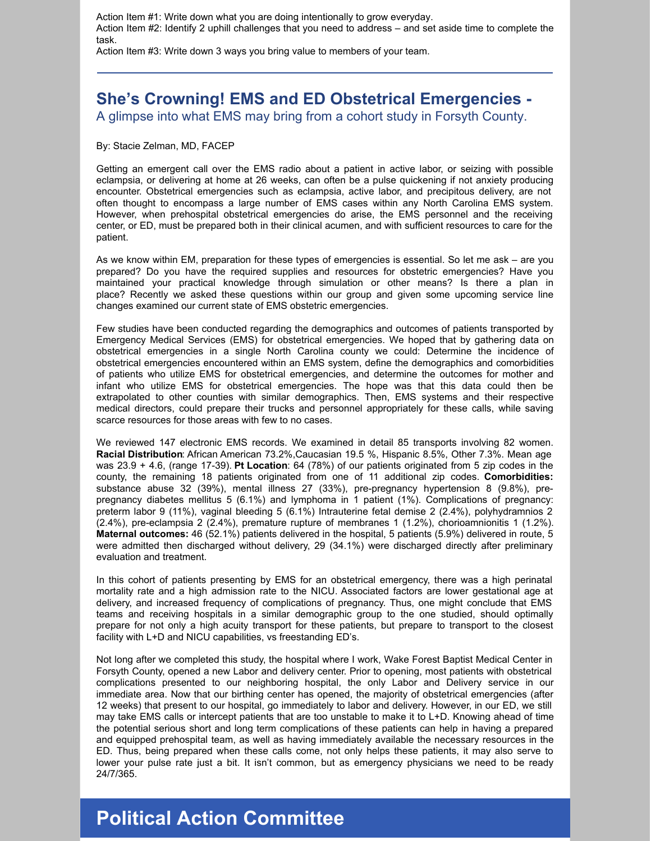Action Item #1: Write down what you are doing intentionally to grow everyday. Action Item #2: Identify 2 uphill challenges that you need to address – and set aside time to complete the task.

Action Item #3: Write down 3 ways you bring value to members of your team.

# **She's Crowning! EMS and ED Obstetrical Emergencies -** A glimpse into what EMS may bring from a cohort study in Forsyth County.

#### By: Stacie Zelman, MD, FACEP

Getting an emergent call over the EMS radio about a patient in active labor, or seizing with possible eclampsia, or delivering at home at 26 weeks, can often be a pulse quickening if not anxiety producing encounter. Obstetrical emergencies such as eclampsia, active labor, and precipitous delivery, are not often thought to encompass a large number of EMS cases within any North Carolina EMS system. However, when prehospital obstetrical emergencies do arise, the EMS personnel and the receiving center, or ED, must be prepared both in their clinical acumen, and with sufficient resources to care for the patient.

As we know within EM, preparation for these types of emergencies is essential. So let me ask – are you prepared? Do you have the required supplies and resources for obstetric emergencies? Have you maintained your practical knowledge through simulation or other means? Is there a plan in place? Recently we asked these questions within our group and given some upcoming service line changes examined our current state of EMS obstetric emergencies.

Few studies have been conducted regarding the demographics and outcomes of patients transported by Emergency Medical Services (EMS) for obstetrical emergencies. We hoped that by gathering data on obstetrical emergencies in a single North Carolina county we could: Determine the incidence of obstetrical emergencies encountered within an EMS system, define the demographics and comorbidities of patients who utilize EMS for obstetrical emergencies, and determine the outcomes for mother and infant who utilize EMS for obstetrical emergencies. The hope was that this data could then be extrapolated to other counties with similar demographics. Then, EMS systems and their respective medical directors, could prepare their trucks and personnel appropriately for these calls, while saving scarce resources for those areas with few to no cases.

We reviewed 147 electronic EMS records. We examined in detail 85 transports involving 82 women. **Racial Distribution**: African American 73.2%,Caucasian 19.5 %, Hispanic 8.5%, Other 7.3%. Mean age was 23.9 + 4.6, (range 17-39). **Pt Location**: 64 (78%) of our patients originated from 5 zip codes in the county, the remaining 18 patients originated from one of 11 additional zip codes. **Comorbidities:** substance abuse 32 (39%), mental illness 27 (33%), pre-pregnancy hypertension 8 (9.8%), prepregnancy diabetes mellitus 5 (6.1%) and lymphoma in 1 patient (1%). Complications of pregnancy: preterm labor 9 (11%), vaginal bleeding 5 (6.1%) Intrauterine fetal demise 2 (2.4%), polyhydramnios 2 (2.4%), pre-eclampsia 2 (2.4%), premature rupture of membranes 1 (1.2%), chorioamnionitis 1 (1.2%). **Maternal outcomes:** 46 (52.1%) patients delivered in the hospital, 5 patients (5.9%) delivered in route, 5 were admitted then discharged without delivery, 29 (34.1%) were discharged directly after preliminary evaluation and treatment.

In this cohort of patients presenting by EMS for an obstetrical emergency, there was a high perinatal mortality rate and a high admission rate to the NICU. Associated factors are lower gestational age at delivery, and increased frequency of complications of pregnancy. Thus, one might conclude that EMS teams and receiving hospitals in a similar demographic group to the one studied, should optimally prepare for not only a high acuity transport for these patients, but prepare to transport to the closest facility with L+D and NICU capabilities, vs freestanding ED's.

Not long after we completed this study, the hospital where I work, Wake Forest Baptist Medical Center in Forsyth County, opened a new Labor and delivery center. Prior to opening, most patients with obstetrical complications presented to our neighboring hospital, the only Labor and Delivery service in our immediate area. Now that our birthing center has opened, the majority of obstetrical emergencies (after 12 weeks) that present to our hospital, go immediately to labor and delivery. However, in our ED, we still may take EMS calls or intercept patients that are too unstable to make it to L+D. Knowing ahead of time the potential serious short and long term complications of these patients can help in having a prepared and equipped prehospital team, as well as having immediately available the necessary resources in the ED. Thus, being prepared when these calls come, not only helps these patients, it may also serve to lower your pulse rate just a bit. It isn't common, but as emergency physicians we need to be ready 24/7/365.

# **Political Action Committee**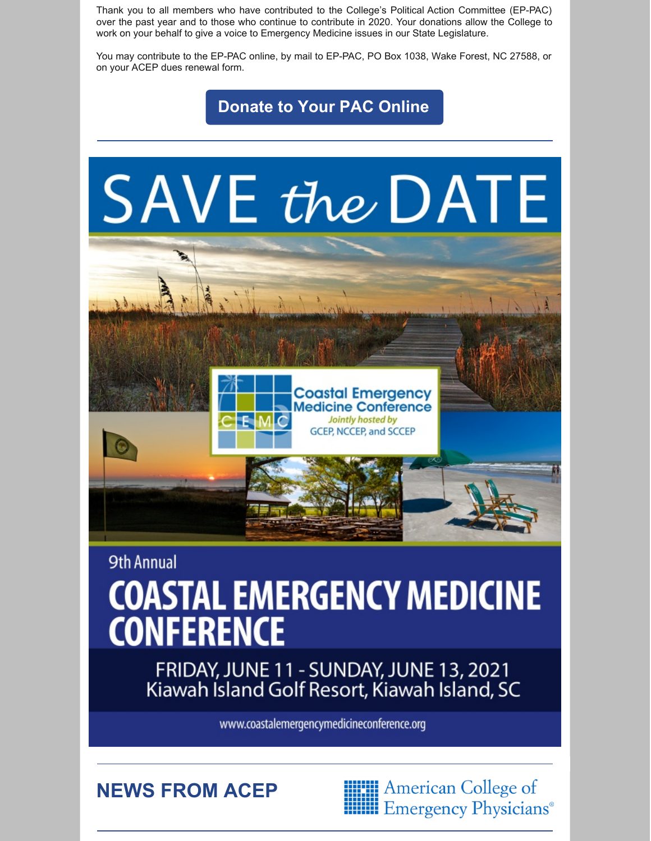Thank you to all members who have contributed to the College's Political Action Committee (EP-PAC) over the past year and to those who continue to contribute in 2020. Your donations allow the College to work on your behalf to give a voice to Emergency Medicine issues in our State Legislature.

You may contribute to the EP-PAC online, by mail to EP-PAC, PO Box 1038, Wake Forest, NC 27588, or on your ACEP dues renewal form.

# **[Donate](https://www.nccep.org/?page_id=605) to Your PAC Online**

# **SAVE the DATE**



# **9th Annual**

# **COASTAL EMERGENCY MEDICINE CONFERENCE**

FRIDAY, JUNE 11 - SUNDAY, JUNE 13, 2021<br>Kiawah Island Golf Resort, Kiawah Island, SC

www.coastalemergencymedicineconference.org

**NEWS FROM ACEP**

**American College of**<br> **Emergency Physician** Emergency Physicians®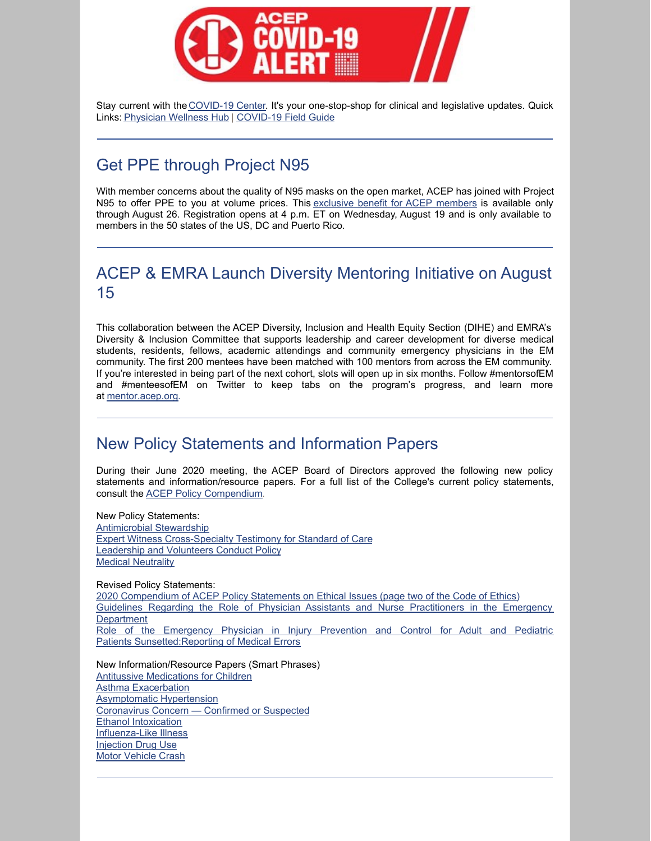

Stay current with the [COVID-19](https://www.acep.org/corona/covid-19-Main/) Center. It's your one-stop-shop for clinical and legislative updates. Quick Links: [Physician](https://www.acep.org/corona/covid-19-physician-wellness/) Wellness Hub | [COVID-19](https://www.acep.org/corona/covid-19-field-guide/cover-page/) Field Guide

# Get PPE through Project N95

With member concerns about the quality of N95 masks on the open market, ACEP has joined with Project N95 to offer PPE to you at volume prices. This [exclusive](https://www.acep.org/corona/COVID-19-alert/covid-19-articles/order-ppe-through-aceps-collaboration-with-project-n95/) benefit for ACEP member[s](https://www.acep.org/corona/COVID-19-alert/covid-19-articles/order-ppe-through-aceps-collaboration-with-project-n95/) is available only through August 26. Registration opens at 4 p.m. ET on Wednesday, August 19 and is only available to members in the 50 states of the US, DC and Puerto Rico.

# ACEP & EMRA Launch Diversity Mentoring Initiative on August 15

This collaboration between the ACEP Diversity, Inclusion and Health Equity Section (DIHE) and EMRA's Diversity & Inclusion Committee that supports leadership and career development for diverse medical students, residents, fellows, academic attendings and community emergency physicians in the EM community. The first 200 mentees have been matched with 100 mentors from across the EM community. If you're interested in being part of the next cohort, slots will open up in six months. Follow #mentorsofEM and #menteesofEM on Twitter to keep tabs on the program's progress, and learn more at [mentor.acep.org](https://mentor.acep.org/).

# New Policy Statements and Information Papers

During their June 2020 meeting, the ACEP Board of Directors approved the following new policy statements and information/resource papers. For a full list of the College's current policy statements, consult the ACEP Policy [Compendium](https://www.acep.org/globalassets/new-pdfs/policy-statements/policy-compendium.pdf).

#### New Policy Statements:

[Antimicrobial](https://www.acep.org/patient-care/policy-statements/antimicrobial-stewardship/) Stewardship Expert Witness [Cross-Specialty](https://www.acep.org/patient-care/policy-statements/expert-witness-cross-specialty-testimony-for-standard-of-care/) Testimony for Standard of Care [Leadership](https://www.acep.org/patient-care/policy-statements/leadership-and-volunteers-conduct-policy/) and Volunteers Conduct Policy Medical [Neutrality](https://www.acep.org/patient-care/policy-statements/medical-neutrality/)

#### Revised Policy Statements:

2020 [Compendium](https://www.acep.org/patient-care/policy-statements/code-of-ethics-for-emergency-physicians/) of ACEP Policy Statements on Ethical Issues (page two of the Code of Ethics) Guidelines Regarding the Role of Physician Assistants and Nurse [Practitioners](https://www.acep.org/patient-care/policy-statements/guidelines-regarding-the-role-of-physician-assistants-and-nurse-practitioners-in-the-emergency-department/) in the Emergency **Department** Role of the Emergency Physician in Injury Prevention and Control for Adult and Pediatric Patients [Sunsetted:Reporting](https://www.acep.org/patient-care/policy-statements/role-of-the-emergency-physician-in-injury-prevention-and-control-for-adult-and-pediatric-patients/) of Medical Errors

#### New Information/Resource Papers (Smart Phrases)

Antitussive [Medications](https://www.acep.org/patient-care/smart-phrases/antitussive-medications-for-children/) for Children Asthma [Exacerbation](https://www.acep.org/patient-care/smart-phrases/asthma-exacerbation/) [Asymptomatic](https://www.acep.org/patient-care/smart-phrases/asymptomatic-hypertension/) Hypertension [Coronavirus](https://www.acep.org/patient-care/smart-phrases/coronavirus-concern--confirmed-or-suspected/) Concern — Confirmed or Suspected Ethanol [Intoxication](https://www.acep.org/patient-care/smart-phrases/ethanol-intoxication/) [Influenza-Like](https://www.acep.org/patient-care/smart-phrases/influenza-like-illness/) Illness [Injection](https://www.acep.org/patient-care/smart-phrases/injection-drug-use/) Drug Use Motor [Vehicle](https://www.acep.org/patient-care/smart-phrases/motor-vehicle-crash/) Crash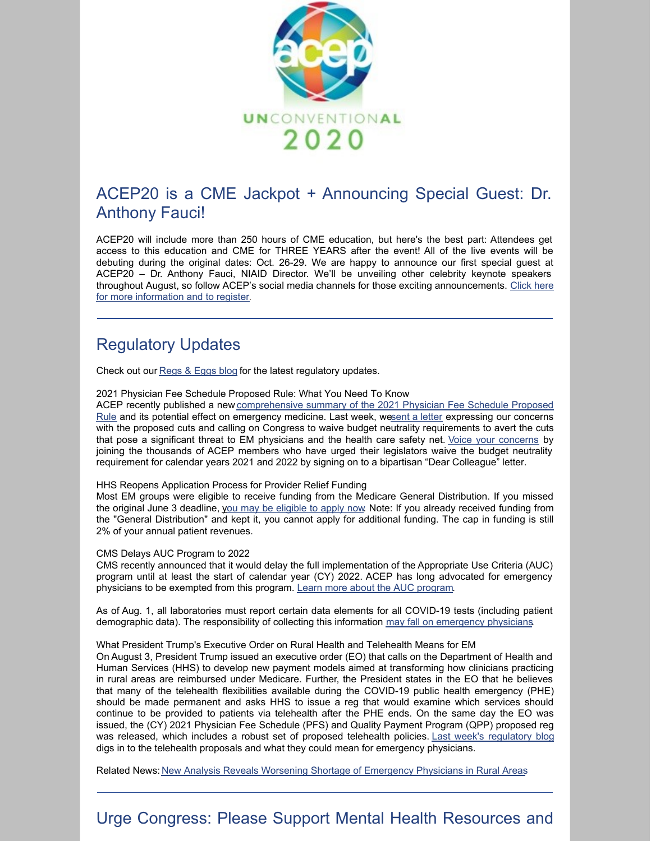

# ACEP20 is a CME Jackpot + Announcing Special Guest: Dr. Anthony Fauci!

ACEP20 will include more than 250 hours of CME education, but here's the best part: Attendees get access to this education and CME for THREE YEARS after the event! All of the live events will be debuting during the original dates: Oct. 26-29. We are happy to announce our first special guest at ACEP20 – Dr. Anthony Fauci, NIAID Director. We'll be unveiling other celebrity keynote speakers throughout August, so follow ACEP's social media channels for those exciting [announcements.](https://acep.org/acep20?utm_source=chapters&utm_medium=copy-ad&utm_campaign=acep20-tracking) Click here for more information and to register.

# Regulatory Updates

Check out our [Regs](https://www.acep.org/federal-advocacy/federal-advocacy-overview/regs-eggs/regs-eggs-archive/) & Eggs blog for the latest regulatory updates.

2021 Physician Fee Schedule Proposed Rule: What You Need To Know

ACEP recently published a new [comprehensive](https://www.acep.org/globalassets/new-pdfs/advocacy/summary-of-the-cy-2021-pfs-and-qpp-proposed-rule.pdf) summary of the 2021 Physician Fee Schedule Proposed Rule and its potential effect on emergency medicine. Last week, we ent a [letter](https://www.acep.org/globalassets/new-pdfs/advocacy/acep-letter-to-sfc-and-wm-on-cy2021-pfs-em-codes----08042021.pdf) expressing our concerns with the proposed cuts and calling on Congress to waive budget neutrality requirements to avert the cuts that pose a significant threat to EM physicians and the health care safety net. Voice your [concerns](https://p2a.co/SeZSIvU) by joining the thousands of ACEP members who have urged their legislators waive the budget neutrality requirement for calendar years 2021 and 2022 by signing on to a bipartisan "Dear Colleague" letter.

#### HHS Reopens Application Process for Provider Relief Funding

Most EM groups were eligible to receive funding from the Medicare General Distribution. If you missed the original June 3 deadline, [y](https://cares.linkhealth.com/#/)ou may be [eligible](https://cares.linkhealth.com/#/) to apply now. Note: If you already received funding from the "General Distribution" and kept it, you cannot apply for additional funding. The cap in funding is still 2% of your annual patient revenues.

#### CMS Delays AUC Program to 2022

CMS recently announced that it would delay the full implementation of the Appropriate Use Criteria (AUC) program until at least the start of calendar year (CY) 2022. ACEP has long advocated for emergency physicians to be exempted from this program. Learn more about the AUC [program](https://www.acep.org/federal-advocacy/federal-advocacy-overview/acep4u/acep4u-electronic-health-records-ehr/).

As of Aug. 1, all laboratories must report certain data elements for all COVID-19 tests (including patient demographic data). The responsibility of collecting this information may fall on [emergency](https://www.acep.org/by-medical-focus/infectious-diseases/coronavirus/FederalAnnouncementsandGuidanceRelatedtoCOVID19/data-collection-requirements-for-covid-19-tests/) physicians.

#### What President Trump's Executive Order on Rural Health and Telehealth Means for EM

On August 3, President Trump issued an executive order (EO) that calls on the Department of Health and Human Services (HHS) to develop new payment models aimed at transforming how clinicians practicing in rural areas are reimbursed under Medicare. Further, the President states in the EO that he believes that many of the telehealth flexibilities available during the COVID-19 public health emergency (PHE) should be made permanent and asks HHS to issue a reg that would examine which services should continue to be provided to patients via telehealth after the PHE ends. On the same day the EO was issued, the (CY) 2021 Physician Fee Schedule (PFS) and Quality Payment Program (QPP) proposed reg was released, which includes a robust set of proposed telehealth policies. Last week's [regulatory](https://www.acep.org/federal-advocacy/federal-advocacy-overview/regs-eggs/regs--eggs58/) blog digs in to the telehealth proposals and what they could mean for emergency physicians.

Related News: New Analysis Reveals Worsening Shortage of [Emergency](https://www.emergencyphysicians.org/press-releases/2020/8-12-20-new-analysis-reveals-worsening-shortage-of-emergency-physicians-in-rural-areas) Physicians in Rural Areas

# Urge Congress: Please Support Mental Health Resources and